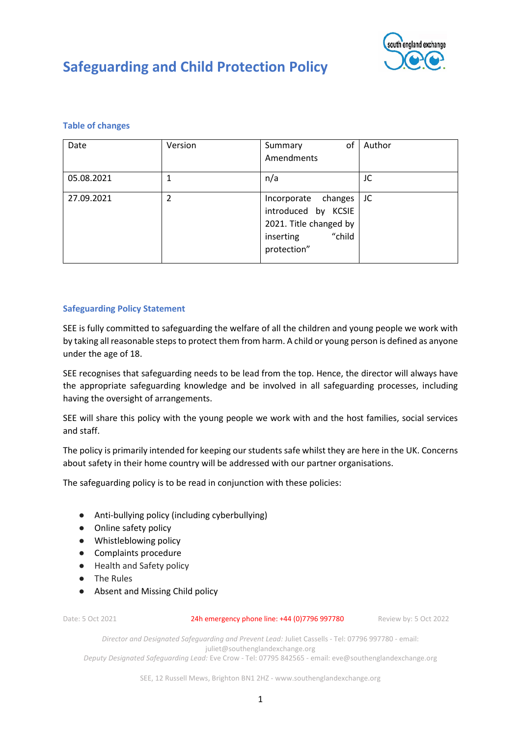

### **Table of changes**

| Date       | Version | of<br>Summary                                                                                              | Author |
|------------|---------|------------------------------------------------------------------------------------------------------------|--------|
|            |         | Amendments                                                                                                 |        |
| 05.08.2021 |         | n/a                                                                                                        | JC     |
| 27.09.2021 | 2       | Incorporate changes<br>introduced by KCSIE<br>2021. Title changed by<br>"child<br>inserting<br>protection" | JC     |

### **Safeguarding Policy Statement**

SEE is fully committed to safeguarding the welfare of all the children and young people we work with by taking all reasonable steps to protect them from harm. A child or young person is defined as anyone under the age of 18.

SEE recognises that safeguarding needs to be lead from the top. Hence, the director will always have the appropriate safeguarding knowledge and be involved in all safeguarding processes, including having the oversight of arrangements.

SEE will share this policy with the young people we work with and the host families, social services and staff.

The policy is primarily intended for keeping our students safe whilst they are here in the UK. Concerns about safety in their home country will be addressed with our partner organisations.

The safeguarding policy is to be read in conjunction with these policies:

- Anti-bullying policy (including cyberbullying)
- Online safety policy
- Whistleblowing policy
- Complaints procedure
- Health and Safety policy
- The Rules
- Absent and Missing Child policy

Date: 5 Oct 2021 24h emergency phone line: +44 (0)7796 997780 Review by: 5 Oct 2022

*Director and Designated Safeguarding and Prevent Lead:* Juliet Cassells - Tel: 07796 997780 - email: juliet@southenglandexchange.org *Deputy Designated Safeguarding Lead:* Eve Crow - Tel: 07795 842565 - email: eve@southenglandexchange.org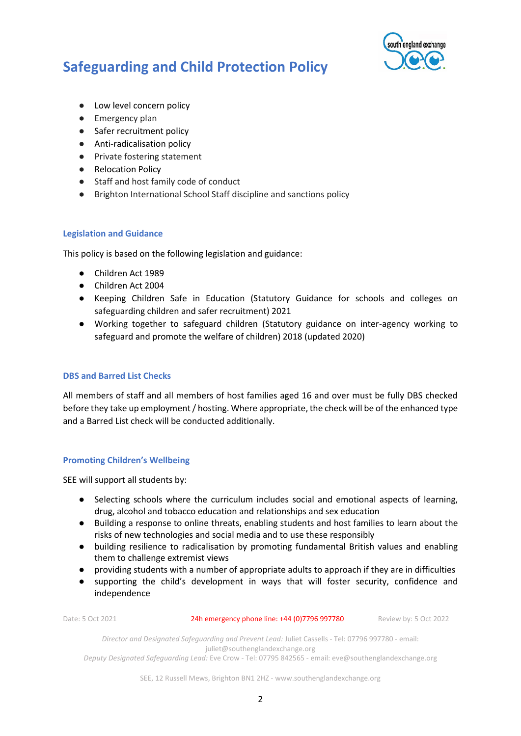

- Low level concern policy
- Emergency plan
- Safer recruitment policy
- Anti-radicalisation policy
- Private fostering statement
- Relocation Policy
- Staff and host family code of conduct
- Brighton International School Staff discipline and sanctions policy

### **Legislation and Guidance**

This policy is based on the following legislation and guidance:

- Children Act 1989
- Children Act 2004
- Keeping Children Safe in Education (Statutory Guidance for schools and colleges on safeguarding children and safer recruitment) 2021
- Working together to safeguard children (Statutory guidance on inter-agency working to safeguard and promote the welfare of children) 2018 (updated 2020)

### **DBS and Barred List Checks**

All members of staff and all members of host families aged 16 and over must be fully DBS checked before they take up employment / hosting. Where appropriate, the check will be of the enhanced type and a Barred List check will be conducted additionally.

### **Promoting Children's Wellbeing**

SEE will support all students by:

- Selecting schools where the curriculum includes social and emotional aspects of learning, drug, alcohol and tobacco education and relationships and sex education
- Building a response to online threats, enabling students and host families to learn about the risks of new technologies and social media and to use these responsibly
- building resilience to radicalisation by promoting fundamental British values and enabling them to challenge extremist views
- providing students with a number of appropriate adults to approach if they are in difficulties
- supporting the child's development in ways that will foster security, confidence and independence

Date: 5 Oct 2021 24h emergency phone line: +44 (0)7796 997780 Review by: 5 Oct 2022

*Director and Designated Safeguarding and Prevent Lead:* Juliet Cassells - Tel: 07796 997780 - email: juliet@southenglandexchange.org *Deputy Designated Safeguarding Lead:* Eve Crow - Tel: 07795 842565 - email: eve@southenglandexchange.org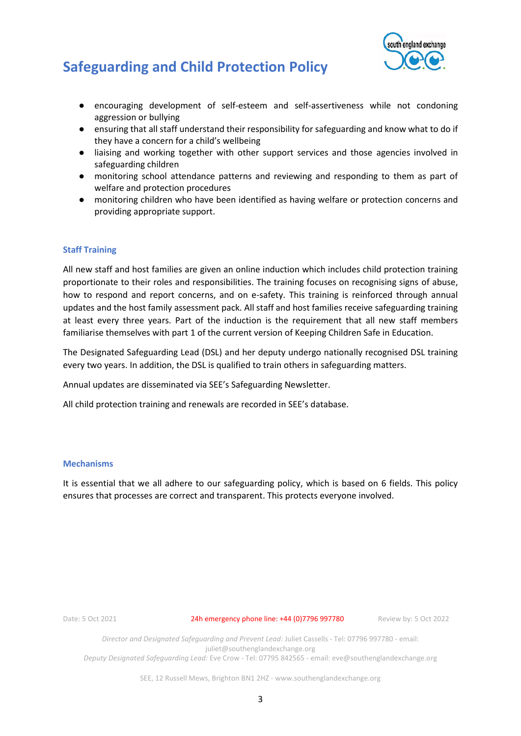

- encouraging development of self-esteem and self-assertiveness while not condoning aggression or bullying
- ensuring that all staff understand their responsibility for safeguarding and know what to do if they have a concern for a child's wellbeing
- liaising and working together with other support services and those agencies involved in safeguarding children
- monitoring school attendance patterns and reviewing and responding to them as part of welfare and protection procedures
- monitoring children who have been identified as having welfare or protection concerns and providing appropriate support.

### **Staff Training**

All new staff and host families are given an online induction which includes child protection training proportionate to their roles and responsibilities. The training focuses on recognising signs of abuse, how to respond and report concerns, and on e-safety. This training is reinforced through annual updates and the host family assessment pack. All staff and host families receive safeguarding training at least every three years. Part of the induction is the requirement that all new staff members familiarise themselves with part 1 of the current version of Keeping Children Safe in Education.

The Designated Safeguarding Lead (DSL) and her deputy undergo nationally recognised DSL training every two years. In addition, the DSL is qualified to train others in safeguarding matters.

Annual updates are disseminated via SEE's Safeguarding Newsletter.

All child protection training and renewals are recorded in SEE's database.

#### **Mechanisms**

It is essential that we all adhere to our safeguarding policy, which is based on 6 fields. This policy ensures that processes are correct and transparent. This protects everyone involved.

Date: 5 Oct 2021 24h emergency phone line: +44 (0)7796 997780 Review by: 5 Oct 2022

*Director and Designated Safeguarding and Prevent Lead:* Juliet Cassells - Tel: 07796 997780 - email: juliet@southenglandexchange.org *Deputy Designated Safeguarding Lead:* Eve Crow - Tel: 07795 842565 - email: eve@southenglandexchange.org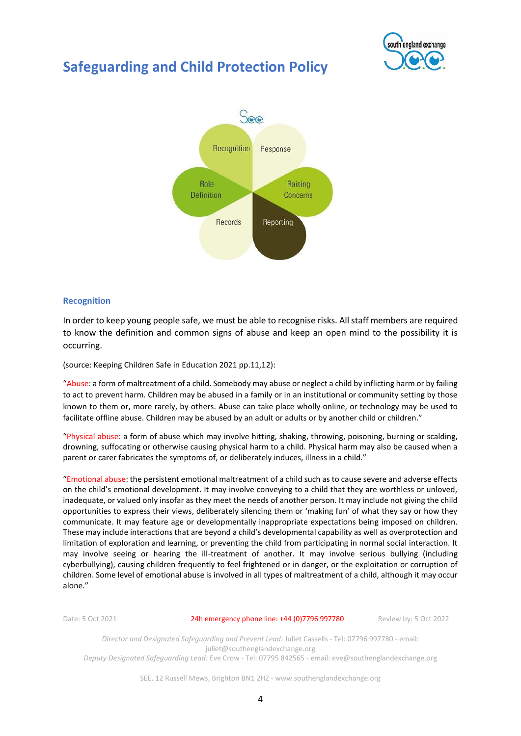



#### **Recognition**

In order to keep young people safe, we must be able to recognise risks. All staff members are required to know the definition and common signs of abuse and keep an open mind to the possibility it is occurring.

(source: Keeping Children Safe in Education 2021 pp.11,12):

"Abuse: a form of maltreatment of a child. Somebody may abuse or neglect a child by inflicting harm or by failing to act to prevent harm. Children may be abused in a family or in an institutional or community setting by those known to them or, more rarely, by others. Abuse can take place wholly online, or technology may be used to facilitate offline abuse. Children may be abused by an adult or adults or by another child or children."

"Physical abuse: a form of abuse which may involve hitting, shaking, throwing, poisoning, burning or scalding, drowning, suffocating or otherwise causing physical harm to a child. Physical harm may also be caused when a parent or carer fabricates the symptoms of, or deliberately induces, illness in a child."

"Emotional abuse: the persistent emotional maltreatment of a child such as to cause severe and adverse effects on the child's emotional development. It may involve conveying to a child that they are worthless or unloved, inadequate, or valued only insofar as they meet the needs of another person. It may include not giving the child opportunities to express their views, deliberately silencing them or 'making fun' of what they say or how they communicate. It may feature age or developmentally inappropriate expectations being imposed on children. These may include interactions that are beyond a child's developmental capability as well as overprotection and limitation of exploration and learning, or preventing the child from participating in normal social interaction. It may involve seeing or hearing the ill-treatment of another. It may involve serious bullying (including cyberbullying), causing children frequently to feel frightened or in danger, or the exploitation or corruption of children. Some level of emotional abuse is involved in all types of maltreatment of a child, although it may occur alone."

Date: 5 Oct 2021 24h emergency phone line: +44 (0)7796 997780 Review by: 5 Oct 2022

*Director and Designated Safeguarding and Prevent Lead:* Juliet Cassells - Tel: 07796 997780 - email: juliet@southenglandexchange.org *Deputy Designated Safeguarding Lead:* Eve Crow - Tel: 07795 842565 - email: eve@southenglandexchange.org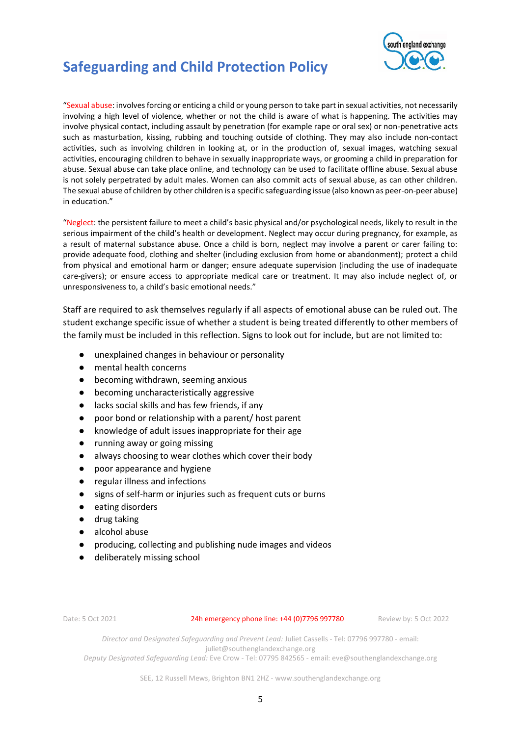



"Sexual abuse: involves forcing or enticing a child or young person to take part in sexual activities, not necessarily involving a high level of violence, whether or not the child is aware of what is happening. The activities may involve physical contact, including assault by penetration (for example rape or oral sex) or non-penetrative acts such as masturbation, kissing, rubbing and touching outside of clothing. They may also include non-contact activities, such as involving children in looking at, or in the production of, sexual images, watching sexual activities, encouraging children to behave in sexually inappropriate ways, or grooming a child in preparation for abuse. Sexual abuse can take place online, and technology can be used to facilitate offline abuse. Sexual abuse is not solely perpetrated by adult males. Women can also commit acts of sexual abuse, as can other children. The sexual abuse of children by other children is a specific safeguarding issue (also known as peer-on-peer abuse) in education."

"Neglect: the persistent failure to meet a child's basic physical and/or psychological needs, likely to result in the serious impairment of the child's health or development. Neglect may occur during pregnancy, for example, as a result of maternal substance abuse. Once a child is born, neglect may involve a parent or carer failing to: provide adequate food, clothing and shelter (including exclusion from home or abandonment); protect a child from physical and emotional harm or danger; ensure adequate supervision (including the use of inadequate care-givers); or ensure access to appropriate medical care or treatment. It may also include neglect of, or unresponsiveness to, a child's basic emotional needs."

Staff are required to ask themselves regularly if all aspects of emotional abuse can be ruled out. The student exchange specific issue of whether a student is being treated differently to other members of the family must be included in this reflection. Signs to look out for include, but are not limited to:

- unexplained changes in behaviour or personality
- mental health concerns
- becoming withdrawn, seeming anxious
- becoming uncharacteristically aggressive
- lacks social skills and has few friends, if any
- poor bond or relationship with a parent/ host parent
- knowledge of adult issues inappropriate for their age
- running away or going missing
- always choosing to wear clothes which cover their body
- poor appearance and hygiene
- regular illness and infections
- signs of self-harm or injuries such as frequent cuts or burns
- eating disorders
- drug taking
- alcohol abuse
- producing, collecting and publishing nude images and videos
- deliberately missing school

Date: 5 Oct 2021 24h emergency phone line: +44 (0)7796 997780 Review by: 5 Oct 2022

*Director and Designated Safeguarding and Prevent Lead:* Juliet Cassells - Tel: 07796 997780 - email: juliet@southenglandexchange.org

*Deputy Designated Safeguarding Lead:* Eve Crow - Tel: 07795 842565 - email: eve@southenglandexchange.org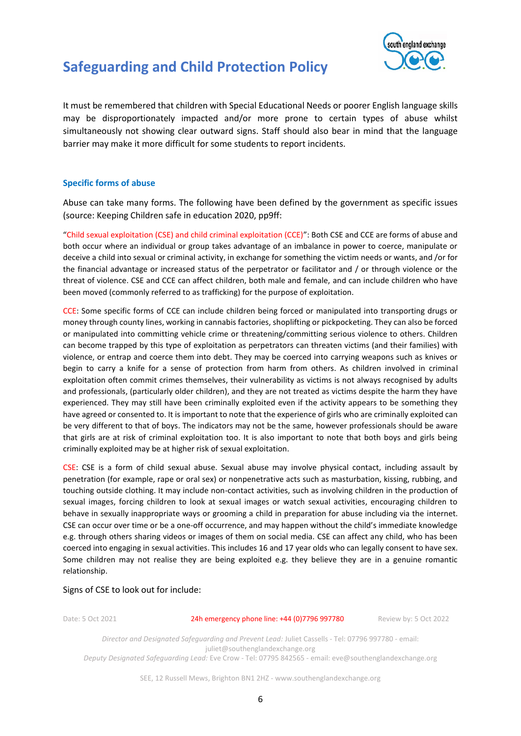

It must be remembered that children with Special Educational Needs or poorer English language skills may be disproportionately impacted and/or more prone to certain types of abuse whilst simultaneously not showing clear outward signs. Staff should also bear in mind that the language barrier may make it more difficult for some students to report incidents.

### **Specific forms of abuse**

Abuse can take many forms. The following have been defined by the government as specific issues (source: Keeping Children safe in education 2020, pp9ff:

"Child sexual exploitation (CSE) and child criminal exploitation (CCE)": Both CSE and CCE are forms of abuse and both occur where an individual or group takes advantage of an imbalance in power to coerce, manipulate or deceive a child into sexual or criminal activity, in exchange for something the victim needs or wants, and /or for the financial advantage or increased status of the perpetrator or facilitator and / or through violence or the threat of violence. CSE and CCE can affect children, both male and female, and can include children who have been moved (commonly referred to as trafficking) for the purpose of exploitation.

CCE: Some specific forms of CCE can include children being forced or manipulated into transporting drugs or money through county lines, working in cannabis factories, shoplifting or pickpocketing. They can also be forced or manipulated into committing vehicle crime or threatening/committing serious violence to others. Children can become trapped by this type of exploitation as perpetrators can threaten victims (and their families) with violence, or entrap and coerce them into debt. They may be coerced into carrying weapons such as knives or begin to carry a knife for a sense of protection from harm from others. As children involved in criminal exploitation often commit crimes themselves, their vulnerability as victims is not always recognised by adults and professionals, (particularly older children), and they are not treated as victims despite the harm they have experienced. They may still have been criminally exploited even if the activity appears to be something they have agreed or consented to. It is important to note that the experience of girls who are criminally exploited can be very different to that of boys. The indicators may not be the same, however professionals should be aware that girls are at risk of criminal exploitation too. It is also important to note that both boys and girls being criminally exploited may be at higher risk of sexual exploitation.

CSE: CSE is a form of child sexual abuse. Sexual abuse may involve physical contact, including assault by penetration (for example, rape or oral sex) or nonpenetrative acts such as masturbation, kissing, rubbing, and touching outside clothing. It may include non-contact activities, such as involving children in the production of sexual images, forcing children to look at sexual images or watch sexual activities, encouraging children to behave in sexually inappropriate ways or grooming a child in preparation for abuse including via the internet. CSE can occur over time or be a one-off occurrence, and may happen without the child's immediate knowledge e.g. through others sharing videos or images of them on social media. CSE can affect any child, who has been coerced into engaging in sexual activities. This includes 16 and 17 year olds who can legally consent to have sex. Some children may not realise they are being exploited e.g. they believe they are in a genuine romantic relationship.

#### Signs of CSE to look out for include:

Date: 5 Oct 2021 24h emergency phone line: +44 (0)7796 997780 Review by: 5 Oct 2022

*Director and Designated Safeguarding and Prevent Lead:* Juliet Cassells - Tel: 07796 997780 - email: juliet@southenglandexchange.org *Deputy Designated Safeguarding Lead:* Eve Crow - Tel: 07795 842565 - email: eve@southenglandexchange.org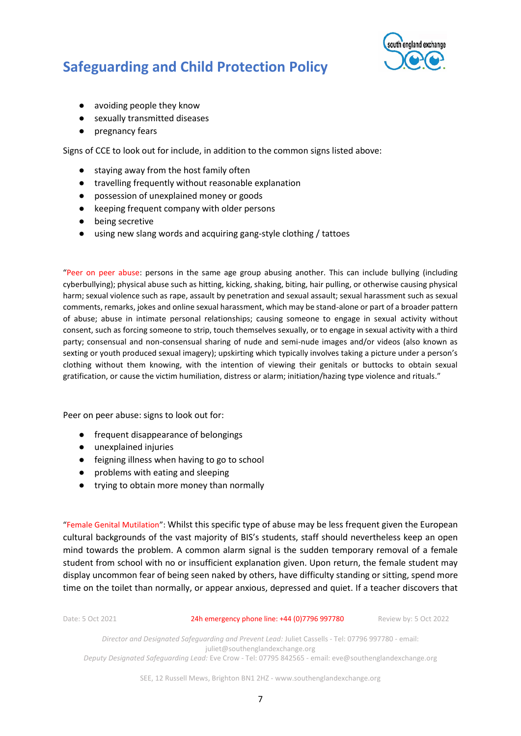

- avoiding people they know
- sexually transmitted diseases
- pregnancy fears

Signs of CCE to look out for include, in addition to the common signs listed above:

- staying away from the host family often
- travelling frequently without reasonable explanation
- possession of unexplained money or goods
- keeping frequent company with older persons
- being secretive
- using new slang words and acquiring gang-style clothing / tattoes

"Peer on peer abuse: persons in the same age group abusing another. This can include bullying (including cyberbullying); physical abuse such as hitting, kicking, shaking, biting, hair pulling, or otherwise causing physical harm; sexual violence such as rape, assault by penetration and sexual assault; sexual harassment such as sexual comments, remarks, jokes and online sexual harassment, which may be stand-alone or part of a broader pattern of abuse; abuse in intimate personal relationships; causing someone to engage in sexual activity without consent, such as forcing someone to strip, touch themselves sexually, or to engage in sexual activity with a third party; consensual and non-consensual sharing of nude and semi-nude images and/or videos (also known as sexting or youth produced sexual imagery); upskirting which typically involves taking a picture under a person's clothing without them knowing, with the intention of viewing their genitals or buttocks to obtain sexual gratification, or cause the victim humiliation, distress or alarm; initiation/hazing type violence and rituals."

Peer on peer abuse: signs to look out for:

- frequent disappearance of belongings
- unexplained injuries
- feigning illness when having to go to school
- problems with eating and sleeping
- trying to obtain more money than normally

"Female Genital Mutilation": Whilst this specific type of abuse may be less frequent given the European cultural backgrounds of the vast majority of BIS's students, staff should nevertheless keep an open mind towards the problem. A common alarm signal is the sudden temporary removal of a female student from school with no or insufficient explanation given. Upon return, the female student may display uncommon fear of being seen naked by others, have difficulty standing or sitting, spend more time on the toilet than normally, or appear anxious, depressed and quiet. If a teacher discovers that

Date: 5 Oct 2021 24h emergency phone line: +44 (0)7796 997780 Review by: 5 Oct 2022

*Director and Designated Safeguarding and Prevent Lead:* Juliet Cassells - Tel: 07796 997780 - email: juliet@southenglandexchange.org *Deputy Designated Safeguarding Lead:* Eve Crow - Tel: 07795 842565 - email: eve@southenglandexchange.org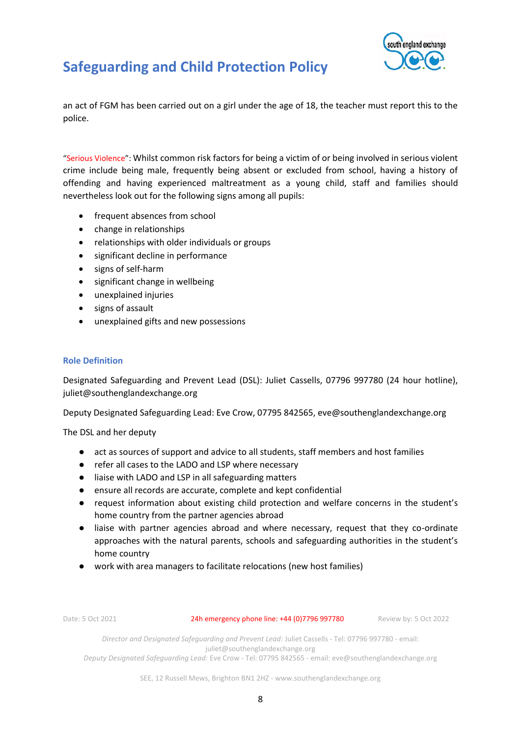

an act of FGM has been carried out on a girl under the age of 18, the teacher must report this to the police.

"Serious Violence": Whilst common risk factors for being a victim of or being involved in serious violent crime include being male, frequently being absent or excluded from school, having a history of offending and having experienced maltreatment as a young child, staff and families should nevertheless look out for the following signs among all pupils:

- frequent absences from school
- change in relationships
- relationships with older individuals or groups
- significant decline in performance
- signs of self-harm
- significant change in wellbeing
- unexplained injuries
- signs of assault
- unexplained gifts and new possessions

#### **Role Definition**

Designated Safeguarding and Prevent Lead (DSL): Juliet Cassells, 07796 997780 (24 hour hotline), [juliet@southenglandexchange.org](mailto:juliet@southenglandexchange.org)

Deputy Designated Safeguarding Lead: Eve Crow, 07795 842565, eve@southenglandexchange.org

The DSL and her deputy

- act as sources of support and advice to all students, staff members and host families
- refer all cases to the LADO and LSP where necessary
- liaise with LADO and LSP in all safeguarding matters
- ensure all records are accurate, complete and kept confidential
- request information about existing child protection and welfare concerns in the student's home country from the partner agencies abroad
- liaise with partner agencies abroad and where necessary, request that they co-ordinate approaches with the natural parents, schools and safeguarding authorities in the student's home country
- work with area managers to facilitate relocations (new host families)

Date: 5 Oct 2021 24h emergency phone line: +44 (0)7796 997780 Review by: 5 Oct 2022

*Director and Designated Safeguarding and Prevent Lead:* Juliet Cassells - Tel: 07796 997780 - email: juliet@southenglandexchange.org

*Deputy Designated Safeguarding Lead:* Eve Crow - Tel: 07795 842565 - email: eve@southenglandexchange.org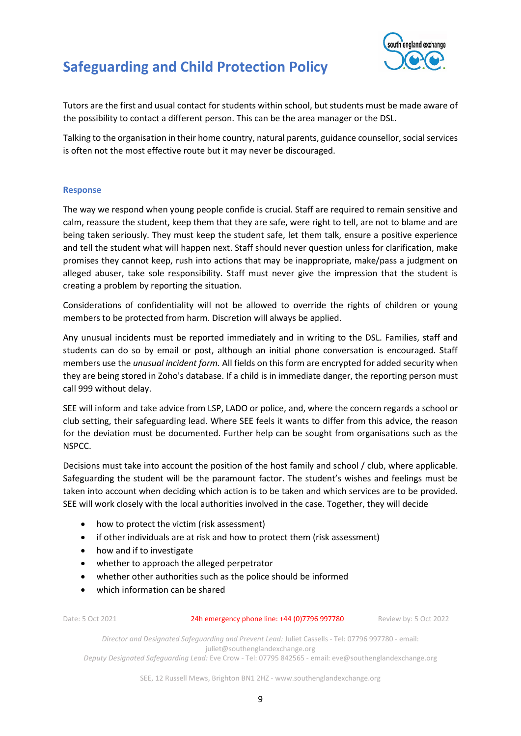

Tutors are the first and usual contact for students within school, but students must be made aware of the possibility to contact a different person. This can be the area manager or the DSL.

Talking to the organisation in their home country, natural parents, guidance counsellor, social services is often not the most effective route but it may never be discouraged.

### **Response**

The way we respond when young people confide is crucial. Staff are required to remain sensitive and calm, reassure the student, keep them that they are safe, were right to tell, are not to blame and are being taken seriously. They must keep the student safe, let them talk, ensure a positive experience and tell the student what will happen next. Staff should never question unless for clarification, make promises they cannot keep, rush into actions that may be inappropriate, make/pass a judgment on alleged abuser, take sole responsibility. Staff must never give the impression that the student is creating a problem by reporting the situation.

Considerations of confidentiality will not be allowed to override the rights of children or young members to be protected from harm. Discretion will always be applied.

Any unusual incidents must be reported immediately and in writing to the DSL. Families, staff and students can do so by email or post, although an initial phone conversation is encouraged. Staff members use the *unusual incident form.* All fields on this form are encrypted for added security when they are being stored in Zoho's database. If a child is in immediate danger, the reporting person must call 999 without delay.

SEE will inform and take advice from LSP, LADO or police, and, where the concern regards a school or club setting, their safeguarding lead. Where SEE feels it wants to differ from this advice, the reason for the deviation must be documented. Further help can be sought from organisations such as the NSPCC.

Decisions must take into account the position of the host family and school / club, where applicable. Safeguarding the student will be the paramount factor. The student's wishes and feelings must be taken into account when deciding which action is to be taken and which services are to be provided. SEE will work closely with the local authorities involved in the case. Together, they will decide

- how to protect the victim (risk assessment)
- if other individuals are at risk and how to protect them (risk assessment)
- how and if to investigate
- whether to approach the alleged perpetrator
- whether other authorities such as the police should be informed
- which information can be shared

Date: 5 Oct 2021 24h emergency phone line: +44 (0)7796 997780 Review by: 5 Oct 2022

*Director and Designated Safeguarding and Prevent Lead:* Juliet Cassells - Tel: 07796 997780 - email: juliet@southenglandexchange.org

*Deputy Designated Safeguarding Lead:* Eve Crow - Tel: 07795 842565 - email: eve@southenglandexchange.org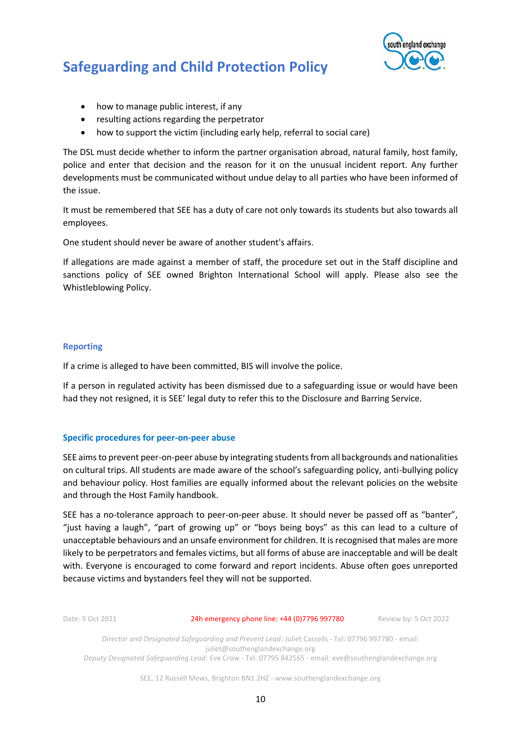

- how to manage public interest, if any
- resulting actions regarding the perpetrator
- how to support the victim (including early help, referral to social care)

The DSL must decide whether to inform the partner organisation abroad, natural family, host family, police and enter that decision and the reason for it on the unusual incident report. Any further developments must be communicated without undue delay to all parties who have been informed of the issue.

It must be remembered that SEE has a duty of care not only towards its students but also towards all employees.

One student should never be aware of another student's affairs.

If allegations are made against a member of staff, the procedure set out in the Staff discipline and sanctions policy of SEE owned Brighton International School will apply. Please also see the Whistleblowing Policy.

### **Reporting**

If a crime is alleged to have been committed, BIS will involve the police.

If a person in regulated activity has been dismissed due to a safeguarding issue or would have been had they not resigned, it is SEE' legal duty to refer this to the Disclosure and Barring Service.

### **Specific procedures for peer-on-peer abuse**

SEE aims to prevent peer-on-peer abuse by integrating students from all backgrounds and nationalities on cultural trips. All students are made aware of the school's safeguarding policy, anti-bullying policy and behaviour policy. Host families are equally informed about the relevant policies on the website and through the Host Family handbook.

SEE has a no-tolerance approach to peer-on-peer abuse. It should never be passed off as "banter", "just having a laugh", "part of growing up" or "boys being boys" as this can lead to a culture of unacceptable behaviours and an unsafe environment for children. It is recognised that males are more likely to be perpetrators and females victims, but all forms of abuse are inacceptable and will be dealt with. Everyone is encouraged to come forward and report incidents. Abuse often goes unreported because victims and bystanders feel they will not be supported.

Date: 5 Oct 2021 24h emergency phone line: +44 (0)7796 997780 Review by: 5 Oct 2022

*Director and Designated Safeguarding and Prevent Lead:* Juliet Cassells - Tel: 07796 997780 - email: juliet@southenglandexchange.org *Deputy Designated Safeguarding Lead:* Eve Crow - Tel: 07795 842565 - email: eve@southenglandexchange.org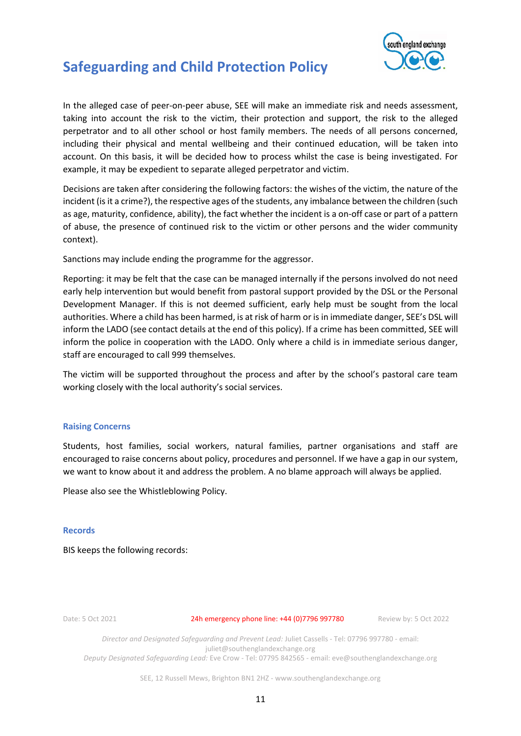

In the alleged case of peer-on-peer abuse, SEE will make an immediate risk and needs assessment, taking into account the risk to the victim, their protection and support, the risk to the alleged perpetrator and to all other school or host family members. The needs of all persons concerned, including their physical and mental wellbeing and their continued education, will be taken into account. On this basis, it will be decided how to process whilst the case is being investigated. For example, it may be expedient to separate alleged perpetrator and victim.

Decisions are taken after considering the following factors: the wishes of the victim, the nature of the incident (is it a crime?), the respective ages of the students, any imbalance between the children (such as age, maturity, confidence, ability), the fact whether the incident is a on-off case or part of a pattern of abuse, the presence of continued risk to the victim or other persons and the wider community context).

Sanctions may include ending the programme for the aggressor.

Reporting: it may be felt that the case can be managed internally if the persons involved do not need early help intervention but would benefit from pastoral support provided by the DSL or the Personal Development Manager. If this is not deemed sufficient, early help must be sought from the local authorities. Where a child has been harmed, is at risk of harm or is in immediate danger, SEE's DSL will inform the LADO (see contact details at the end of this policy). If a crime has been committed, SEE will inform the police in cooperation with the LADO. Only where a child is in immediate serious danger, staff are encouraged to call 999 themselves.

The victim will be supported throughout the process and after by the school's pastoral care team working closely with the local authority's social services.

### **Raising Concerns**

Students, host families, social workers, natural families, partner organisations and staff are encouraged to raise concerns about policy, procedures and personnel. If we have a gap in our system, we want to know about it and address the problem. A no blame approach will always be applied.

Please also see the Whistleblowing Policy.

### **Records**

BIS keeps the following records:

Date: 5 Oct 2021 24h emergency phone line: +44 (0)7796 997780 Review by: 5 Oct 2022

*Director and Designated Safeguarding and Prevent Lead:* Juliet Cassells - Tel: 07796 997780 - email: juliet@southenglandexchange.org *Deputy Designated Safeguarding Lead:* Eve Crow - Tel: 07795 842565 - email: eve@southenglandexchange.org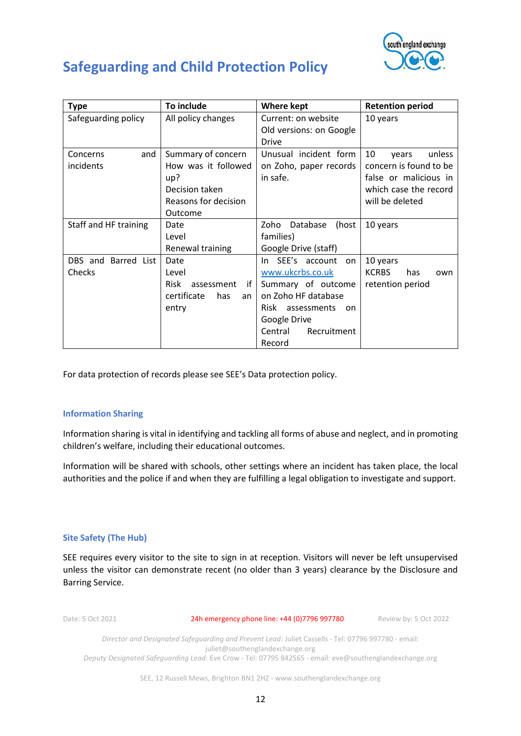

| <b>Type</b>           | To include                      | <b>Where kept</b>         | <b>Retention period</b>    |
|-----------------------|---------------------------------|---------------------------|----------------------------|
| Safeguarding policy   | All policy changes              | Current: on website       | 10 years                   |
|                       |                                 | Old versions: on Google   |                            |
|                       |                                 | Drive                     |                            |
| and<br>Concerns       | Summary of concern              | Unusual incident form     | 10<br>unless<br>years      |
| incidents             | How was it followed             | on Zoho, paper records    | concern is found to be     |
|                       | up?                             | in safe.                  | false or malicious in      |
|                       | Decision taken                  |                           | which case the record      |
|                       | Reasons for decision            |                           | will be deleted            |
|                       | Outcome                         |                           |                            |
| Staff and HF training | Date                            | Database<br>(host<br>Zoho | 10 years                   |
|                       | Level                           | families)                 |                            |
|                       | Renewal training                | Google Drive (staff)      |                            |
| DBS and Barred List   | Date                            | In SEE's account<br>on    | 10 years                   |
| Checks                | Level                           | www.ukcrbs.co.uk          | <b>KCRBS</b><br>has<br>own |
|                       | <b>Risk</b><br>if<br>assessment | Summary of outcome        | retention period           |
|                       | certificate<br>has<br>an        | on Zoho HF database       |                            |
|                       | entry                           | Risk<br>assessments<br>on |                            |
|                       |                                 | Google Drive              |                            |
|                       |                                 | Central<br>Recruitment    |                            |
|                       |                                 | Record                    |                            |

For data protection of records please see SEE's Data protection policy.

### **Information Sharing**

Information sharing is vital in identifying and tackling all forms of abuse and neglect, and in promoting children's welfare, including their educational outcomes.

Information will be shared with schools, other settings where an incident has taken place, the local authorities and the police if and when they are fulfilling a legal obligation to investigate and support.

### **Site Safety (The Hub)**

SEE requires every visitor to the site to sign in at reception. Visitors will never be left unsupervised unless the visitor can demonstrate recent (no older than 3 years) clearance by the Disclosure and Barring Service.

Date: 5 Oct 2021 24h emergency phone line: +44 (0)7796 997780 Review by: 5 Oct 2022

*Director and Designated Safeguarding and Prevent Lead:* Juliet Cassells - Tel: 07796 997780 - email: juliet@southenglandexchange.org *Deputy Designated Safeguarding Lead:* Eve Crow - Tel: 07795 842565 - email: eve@southenglandexchange.org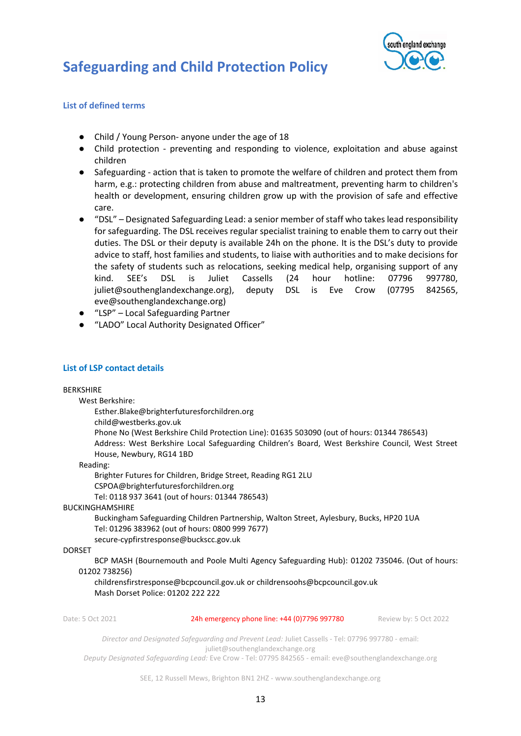

### **List of defined terms**

- Child / Young Person- anyone under the age of 18
- Child protection preventing and responding to violence, exploitation and abuse against children
- Safeguarding action that is taken to promote the welfare of children and protect them from harm, e.g.: protecting children from abuse and maltreatment, preventing harm to children's health or development, ensuring children grow up with the provision of safe and effective care.
- "DSL" Designated Safeguarding Lead: a senior member of staff who takes lead responsibility for safeguarding. The DSL receives regular specialist training to enable them to carry out their duties. The DSL or their deputy is available 24h on the phone. It is the DSL's duty to provide advice to staff, host families and students, to liaise with authorities and to make decisions for the safety of students such as relocations, seeking medical help, organising support of any kind. SEE's DSL is Juliet Cassells (24 hour hotline: 07796 997780, juliet@southenglandexchange.org), deputy DSL is Eve Crow (07795 842565, eve@southenglandexchange.org)
- "LSP" Local Safeguarding Partner
- "LADO" Local Authority Designated Officer"

#### **List of LSP contact details**

BERKSHIRE

West Berkshire:

Esther.Blake@brighterfuturesforchildren.org

child@westberks.gov.uk

Phone No (West Berkshire Child Protection Line): 01635 503090 (out of hours: 01344 786543) Address: West Berkshire Local Safeguarding Children's Board, West Berkshire Council, West Street House, Newbury, RG14 1BD

#### Reading:

Brighter Futures for Children, Bridge Street, Reading RG1 2LU CSPOA@brighterfuturesforchildren.org

Tel: 0118 937 3641 (out of hours: 01344 786543)

#### BUCKINGHAMSHIRE

Buckingham Safeguarding Children Partnership, Walton Street, Aylesbury, Bucks, HP20 1UA Tel: 01296 383962 (out of hours: 0800 999 7677)

secure-cypfirstresponse@buckscc.gov.uk

### DORSET

BCP MASH (Bournemouth and Poole Multi Agency Safeguarding Hub): 01202 735046. (Out of hours: 01202 738256)

childrensfirstresponse@bcpcouncil.gov.uk or childrensoohs@bcpcouncil.gov.uk Mash Dorset Police: 01202 222 222

Date: 5 Oct 2021 24h emergency phone line: +44 (0)7796 997780 Review by: 5 Oct 2022

*Director and Designated Safeguarding and Prevent Lead:* Juliet Cassells - Tel: 07796 997780 - email: juliet@southenglandexchange.org

*Deputy Designated Safeguarding Lead:* Eve Crow - Tel: 07795 842565 - email: eve@southenglandexchange.org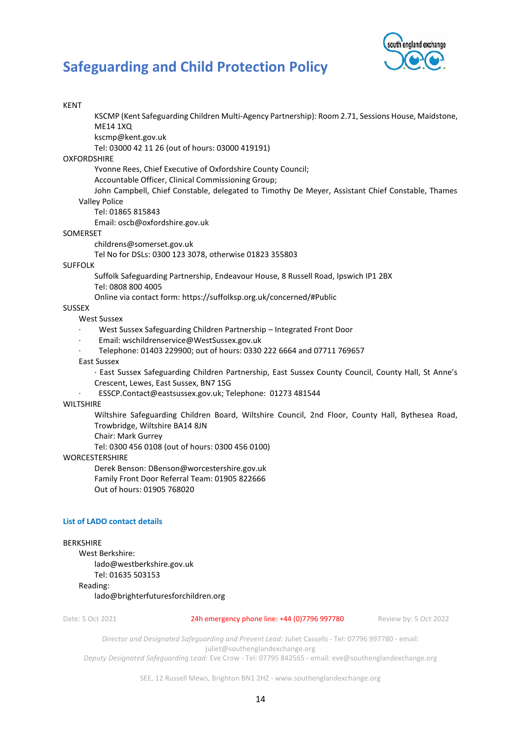

| <b>KENT</b>                                        |                                                                                                     |                       |
|----------------------------------------------------|-----------------------------------------------------------------------------------------------------|-----------------------|
|                                                    | KSCMP (Kent Safeguarding Children Multi-Agency Partnership): Room 2.71, Sessions House, Maidstone,  |                       |
| <b>ME14 1XQ</b>                                    |                                                                                                     |                       |
| kscmp@kent.gov.uk                                  |                                                                                                     |                       |
| Tel: 03000 42 11 26 (out of hours: 03000 419191)   |                                                                                                     |                       |
| <b>OXFORDSHIRE</b>                                 |                                                                                                     |                       |
| Accountable Officer, Clinical Commissioning Group; | Yvonne Rees, Chief Executive of Oxfordshire County Council;                                         |                       |
|                                                    | John Campbell, Chief Constable, delegated to Timothy De Meyer, Assistant Chief Constable, Thames    |                       |
| <b>Valley Police</b>                               |                                                                                                     |                       |
| Tel: 01865 815843                                  |                                                                                                     |                       |
| Email: oscb@oxfordshire.gov.uk                     |                                                                                                     |                       |
|                                                    |                                                                                                     |                       |
| SOMERSET                                           |                                                                                                     |                       |
| childrens@somerset.gov.uk                          |                                                                                                     |                       |
|                                                    | Tel No for DSLs: 0300 123 3078, otherwise 01823 355803                                              |                       |
| <b>SUFFOLK</b>                                     |                                                                                                     |                       |
|                                                    | Suffolk Safeguarding Partnership, Endeavour House, 8 Russell Road, Ipswich IP1 2BX                  |                       |
| Tel: 0808 800 4005                                 |                                                                                                     |                       |
|                                                    | Online via contact form: https://suffolksp.org.uk/concerned/#Public                                 |                       |
| <b>SUSSEX</b>                                      |                                                                                                     |                       |
| <b>West Sussex</b>                                 |                                                                                                     |                       |
|                                                    | West Sussex Safeguarding Children Partnership - Integrated Front Door                               |                       |
| Email: wschildrenservice@WestSussex.gov.uk         |                                                                                                     |                       |
|                                                    | Telephone: 01403 229900; out of hours: 0330 222 6664 and 07711 769657                               |                       |
| <b>East Sussex</b>                                 |                                                                                                     |                       |
|                                                    | · East Sussex Safeguarding Children Partnership, East Sussex County Council, County Hall, St Anne's |                       |
| Crescent, Lewes, East Sussex, BN7 1SG              |                                                                                                     |                       |
|                                                    | ESSCP.Contact@eastsussex.gov.uk; Telephone: 01273 481544                                            |                       |
| <b>WILTSHIRE</b>                                   |                                                                                                     |                       |
|                                                    | Wiltshire Safeguarding Children Board, Wiltshire Council, 2nd Floor, County Hall, Bythesea Road,    |                       |
| Trowbridge, Wiltshire BA14 8JN                     |                                                                                                     |                       |
| Chair: Mark Gurrey                                 |                                                                                                     |                       |
| Tel: 0300 456 0108 (out of hours: 0300 456 0100)   |                                                                                                     |                       |
| <b>WORCESTERSHIRE</b>                              |                                                                                                     |                       |
| Derek Benson: DBenson@worcestershire.gov.uk        |                                                                                                     |                       |
| Family Front Door Referral Team: 01905 822666      |                                                                                                     |                       |
| Out of hours: 01905 768020                         |                                                                                                     |                       |
|                                                    |                                                                                                     |                       |
| <b>List of LADO contact details</b>                |                                                                                                     |                       |
|                                                    |                                                                                                     |                       |
| <b>BERKSHIRE</b>                                   |                                                                                                     |                       |
| West Berkshire:                                    |                                                                                                     |                       |
| lado@westberkshire.gov.uk                          |                                                                                                     |                       |
| Tel: 01635 503153                                  |                                                                                                     |                       |
| Reading:                                           |                                                                                                     |                       |
| lado@brighterfuturesforchildren.org                |                                                                                                     |                       |
| Date: 5 Oct 2021                                   | 24h emergency phone line: +44 (0)7796 997780                                                        | Review by: 5 Oct 2022 |
|                                                    |                                                                                                     |                       |

*Director and Designated Safeguarding and Prevent Lead:* Juliet Cassells - Tel: 07796 997780 - email: juliet@southenglandexchange.org

*Deputy Designated Safeguarding Lead:* Eve Crow - Tel: 07795 842565 - email: eve@southenglandexchange.org